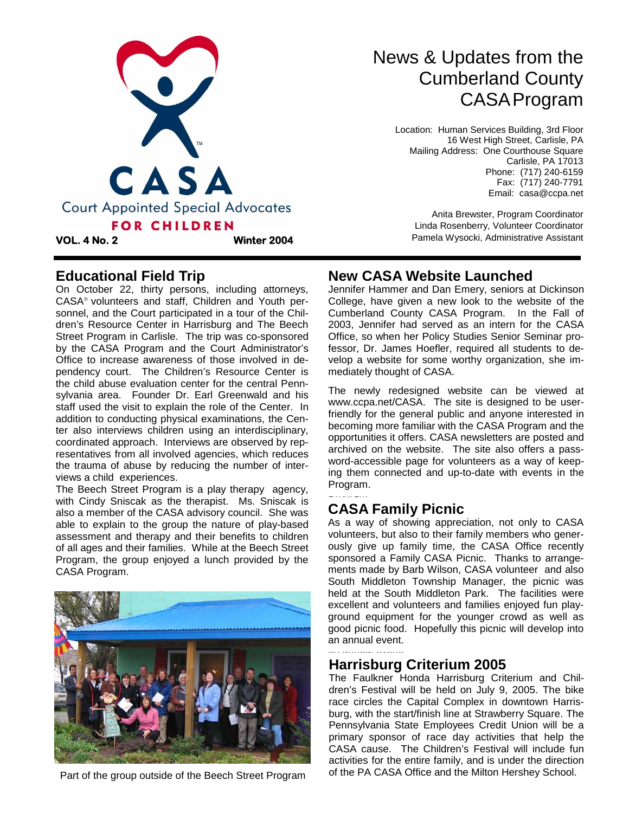

# **Cumberland County** CASA Program

Location: Human Services Building, 3rd Floor Mailing Address: One Courthouse Square  $\frac{1}{100}$  Callisle, PA 17013 Phone:  $(717)$  240-6159  $\text{Fax:}$  (717) 240-7791 Email: casa@ccpa.net Email: casa@ccpa.net 16 West High Street, Carlisle, PA Carlisle, PA 17013

> Anita Brewster, Program Coordinator Anita Brewster, Program Coordinator Linda Rosenberry, Volunteer Coordinator Linda Rosenberry, Volunteer Coordinator Pamela Wysocki, Administrative Assistant Pamela Wysocki, Administrative Assistant

### **Educational Field Trip**

On October 22, thirty persons, including attorneys, CASA® volunteers and staff, Children and Youth personnel, and the Court participated in a tour of the Children's Resource Center in Harrisburg and The Beech Street Program in Carlisle. The trip was co-sponsored by the CASA Program and the Court Administrator's Office to increase awareness of those involved in dependency court. The Children's Resource Center is the child abuse evaluation center for the central Pennsylvania area. Founder Dr. Earl Greenwald and his staff used the visit to explain the role of the Center. In addition to conducting physical examinations, the Center also interviews children using an interdisciplinary, coordinated approach. Interviews are observed by representatives from all involved agencies, which reduces the trauma of abuse by reducing the number of interviews a child experiences.

The Beech Street Program is a play therapy agency, with Cindy Sniscak as the therapist. Ms. Sniscak is also a member of the CASA advisory council. She was able to explain to the group the nature of play-based assessment and therapy and their benefits to children of all ages and their families. While at the Beech Street Program, the group enjoyed a lunch provided by the CASA Program.



Part of the group outside of the Beech Street Program

# **New CASA Website Launched**

Jennifer Hammer and Dan Emery, seniors at Dickinson College, have given a new look to the website of the Cumberland County CASA Program. In the Fall of 2003, Jennifer had served as an intern for the CASA Office, so when her Policy Studies Senior Seminar professor, Dr. James Hoefler, required all students to develop a website for some worthy organization, she immediately thought of CASA.

The newly redesigned website can be viewed at www.ccpa.net/CASA. The site is designed to be userfriendly for the general public and anyone interested in becoming more familiar with the CASA Program and the opportunities it offers. CASA newsletters are posted and becoming more familiar with the CASA Program and the<br>opportunities it offers. CASA newsletters are posted and<br>archived on the website. The site also offers a password-accessible page for volunteers as a way of keeping them connected and up-to-date with events in the **ing them connected and up-to-date with events in the up-to-date with events in the up-to-date with events in the up-to-date with events in the up-to-date with events in the up-to-date with events in the up-to-date with ev** 

### **CASA Family Picnic**

**CASA Family Picnic**<br>As a way of showing appreciation, not only to CASA volunteers, but also to their family members who generously give up family time, the CASA Office recently sponsored a Family CASA Picnic. Thanks to arrangements made by Barb Wilson, CASA volunteer and also South Middleton Township Manager, the picnic was held at the South Middleton Park. The facilities were excellent and volunteers and families enjoyed fun playground equipment for the younger crowd as well as good picnic food. Hopefully this picnic will develop into an annual event. Hopefully this picture will develop into the contract of the contract of the contract of the contract of the contract of the contract of the contract of the contract of the contract of the contract of the an annual event.

### **Harrisburg Criterium 2005**

**Harrisburg Criterium 2005**  The Faulkner Honda Harrisburg Criterium and Children's Festival will be held on July 9, 2005. The bike race circles the Capital Complex in downtown Harrisburg, with the start/finish line at Strawberry Square. The Pennsylvania State Employees Credit Union will be a primary sponsor of race day activities that help the CASA cause. The Children's Festival will include fun activities for the entire family, and is under the direction of the PA CASA Office and the Milton Hershey School. of the PA CASA Office and the Milton Hershey School.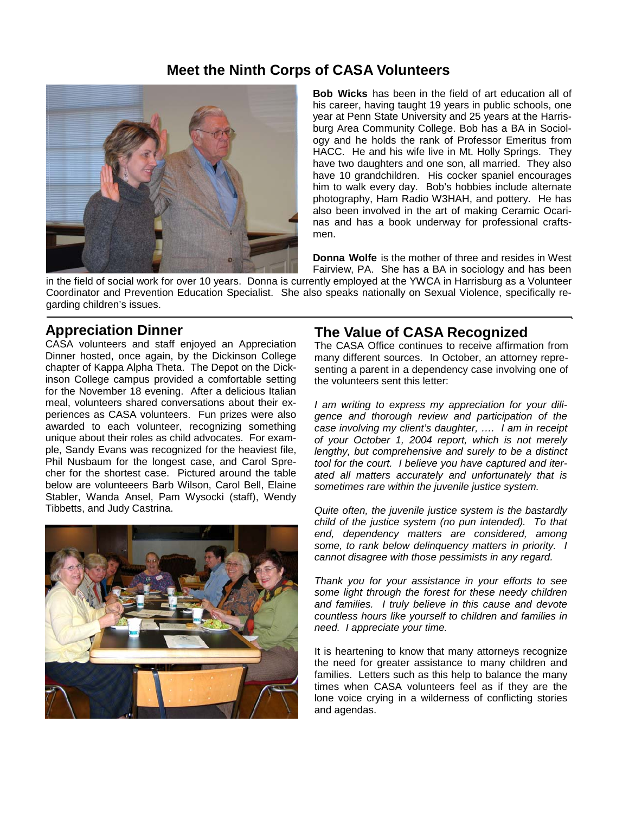### **Meet the Ninth Corps of CASA Volunteers**



**Bob Wicks** has been in the field of art education all of **Fenn State University and 25 years at the Harrisburg Area Community Community Community Community Community Community Community Community Community Community Community Community Community Community Community Community Com** year at Penn State University and 25 years at the Harrisburg Area Community College. Bob has a BA in Sociolevery day and he holds the rank of Professor Emeritus from volved in the art of making Ceramic Ocarinas and has a book underway for professional craftsment. Holly Springs. They **Donna Worke Airview, Participates in the mother of three and residents in the mother of three and have 10 grandchildren. His cocker spaniel encourages** him to walk every day. Bob's hobbies include alternate Coordinator and Prevention Specialist. She alternate him to walk every day. Bob's hobbies include alternate photography, Ham Radio W3HAH, and pottery. He has **Bob Wicks** has been in the field of art education all of<br>his career, having taught 19 years in public schools, one<br>year at Penn State University and 25 years at the Harrishave two daughters and one son, all married. They also also been involved in the art of making Ceramic Ocarinas and has a book underway for professional craftsmen.

> **Donna Wolfe** is the mother of three and resides in West Fairview, PA. She has a BA in sociology and has been

in the field of social work for over 10 years. Donna is currently employed at the YWCA in Harrisburg as a Volunteer Coordinator and Prevention Education Specialist. She also speaks nationally on Sexual Violence, specifically regarding children's issues.

### **Appreciation Dinner Appreciation Dinner**

CASA volunteers and staff enjoyed an Appreciation Dinner hosted, once again, by the Dickinson College Dinner hosted, once again, by the Dickinson College chapter of Kappa Alpha Theta. The Depot on the Dick-chapter of Kappa Alpha Theta. The Depot on the Dickinson College campus provided a comfortable setting inson College campus provided a comfortable setting for the November 18 evening. After a delicious Italian for the November 18 evening. After a delicious Italian meal, volunteers shared conversations about their ex-meal, volunteers shared conversations about their experiences as CASA volunteers. Fun prizes were also periences as CASA volunteers. Fun prizes were also awarded to each volunteer, recognizing something awarded to each volunteer, recognizing something unique about their roles as child advocates. For exam-unique about their roles as child advocates. For example, Sandy Evans was recognized for the heaviest file, Phil Nusbaum for the longest case, and Carol Spre-Phil Nusbaum for the longest case, and Carol Sprecher for the shortest case. Pictured around the table cher for the shortest case. Pictured around the table<br>below are volunteeers Barb Wilson, Carol Bell, Elaine Stabler, Wanda Ansel, Pam Wysocki (staff), Wendy Stabler, Wanda Ansel, Pam Wysocki (staff), Wendy Tibbetts, and Judy Castrina. Tibbetts, and Judy Castrina.



### **The Value of CASA Recognized**

The CASA Office continues to receive affirmation from many different sources. In October, an attorney representing a parent in a dependency case involving one of the volunteers sent this letter:

*I am writing to express my appreciation for your diligence and thorough review and participation of the case involving my client's daughter, …. I am in receipt of your October 1, 2004 report, which is not merely lengthy, but comprehensive and surely to be a distinct tool for the court. I believe you have captured and iterated all matters accurately and unfortunately that is sometimes rare within the juvenile justice system.* 

*Quite often, the juvenile justice system is the bastardly child of the justice system (no pun intended). To that end, dependency matters are considered, among some, to rank below delinquency matters in priority. I cannot disagree with those pessimists in any regard.* 

*Thank you for your assistance in your efforts to see some light through the forest for these needy children and families. I truly believe in this cause and devote countless hours like yourself to children and families in need. I appreciate your time.* 

It is heartening to know that many attorneys recognize the need for greater assistance to many children and families. Letters such as this help to balance the many times when CASA volunteers feel as if they are the lone voice crying in a wilderness of conflicting stories and agendas.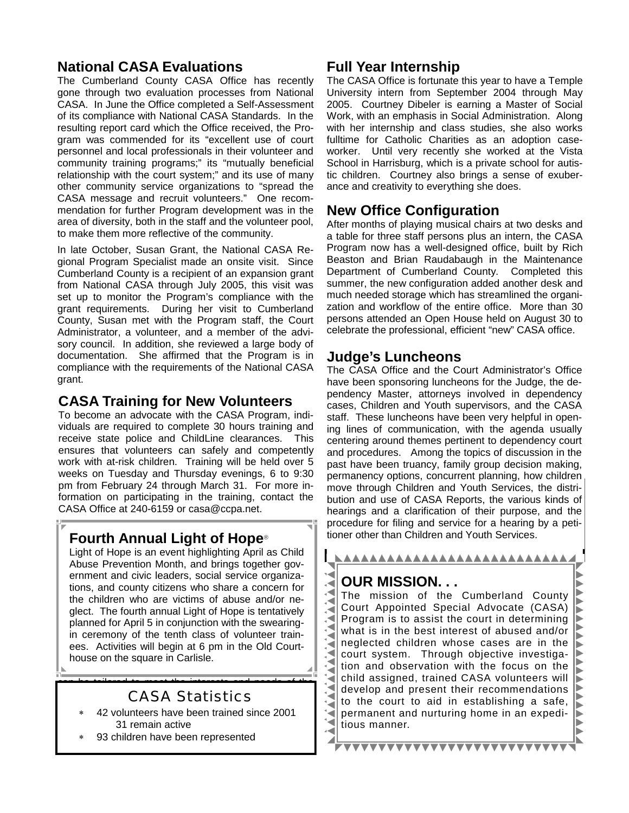# **National CASA Evaluations**

The Cumberland County CASA Office has recently gone through two evaluation processes from National CASA. In June the Office completed a Self-Assessment of its compliance with National CASA Standards. In the resulting report card which the Office received, the Program was commended for its "excellent use of court personnel and local professionals in their volunteer and community training programs;" its "mutually beneficial relationship with the court system;" and its use of many other community service organizations to "spread the CASA message and recruit volunteers." One recommendation for further Program development was in the area of diversity, both in the staff and the volunteer pool, to make them more reflective of the community.

In late October, Susan Grant, the National CASA Regional Program Specialist made an onsite visit. Since Cumberland County is a recipient of an expansion grant from National CASA through July 2005, this visit was set up to monitor the Program's compliance with the grant requirements. During her visit to Cumberland County, Susan met with the Program staff, the Court Administrator, a volunteer, and a member of the advisory council. In addition, she reviewed a large body of documentation. She affirmed that the Program is in documentation. She affirmed that the Program is in<br>compliance with the requirements of the National CASA **is in complete compliance with the requirements of**  $\mathbf{r}$  **and**  $\mathbf{r}$  **and**  $\mathbf{r}$  **and**  $\mathbf{r}$  **and**  $\mathbf{r}$  **and**  $\mathbf{r}$  **and**  $\mathbf{r}$  **and**  $\mathbf{r}$  **and**  $\mathbf{r}$  **and**  $\mathbf{r}$  **and**  $\mathbf{r}$  **and**  $\mathbf{r}$  **and**  $\mathbf{r}$  **and** grant.

# **CASA Training for New Volunteers**

To become an advocate with the CASA Program, individuals are required to complete 30 hours training and receive state police and ChildLine clearances. This ensures that volunteers can safely and competently work with at-risk children. Training will be held over 5 weeks on Tuesday and Thursday evenings, 6 to 9:30 pm from February 24 through March 31. For more information on participating in the training, contact the CASA Office at 240-6159 or casa@ccpa.net.

### past have been truency, family group decision making, family group decision making,  $\frac{1}{\sqrt{2}}$ **Permanent Dight of Hope®** Fourth Annual Light of Hope®

Light of Hope is an event highlighting April as Child Bution and use of CASA Reports of CASA Reports, the various contract of CASA Reports. header recentlent menth, and charge regenter get<br>ernment and civic leaders, social service organizations, and county citizens who share a concern for the children who are victims of abuse and/or ne-**Speaker Availability and Speaker April 5** in conjunction with the swearingin ceremony of the tenth class of volunteer trainees. Activities will begin at 6 pm in the Old Court- $\vert$  house on the square in Carlisle. glect. The fourth annual Light of Hope is tentatively

### can be tailored to meet the interests and needs of the **GASA Statistics**

 $\mathbf{A}$ 

- speaking engagement, contact the CASA Office at 240- ∗ 42 volunteers have been trained since 2001 31 remain active
	- 93 children have been represented

### **Full Year Internship**

The CASA Office is fortunate this year to have a Temple University intern from September 2004 through May 2005. Courtney Dibeler is earning a Master of Social Work, with an emphasis in Social Administration. Along with her internship and class studies, she also works fulltime for Catholic Charities as an adoption caseworker. Until very recently she worked at the Vista School in Harrisburg, which is a private school for autistic children. Courtney also brings a sense of exuberance and creativity to everything she does.

# **New Office Configuration**

After months of playing musical chairs at two desks and a table for three staff persons plus an intern, the CASA Program now has a well-designed office, built by Rich Beaston and Brian Raudabaugh in the Maintenance Department of Cumberland County. Completed this summer, the new configuration added another desk and much needed storage which has streamlined the organization and workflow of the entire office. More than 30 persons attended an Open House held on August 30 to celebrate the professional, efficient "new" CASA office.

### **CASA Training for New Volunteers Judge's Luncheons**

move unough Children and Todin Services, the distil-<br>bution and use of CASA Reports, the various kinds of hearings and a clarification of their purpose, and the procedure for filing and service for a hearing by a petitioner other than Children and Youth Services. The CASA Office and the Court Administrator's Office have been sponsoring luncheons for the Judge, the dependency Master, attorneys involved in dependency cases, Children and Youth supervisors, and the CASA staff. These luncheons have been very helpful in opening lines of communication, with the agenda usually ing lines of communication, with the agenda usually centering around themes pertinent to dependency court and procedures. Among the topics of discussion in the and procedures. Among the topics of discussion in the past have been truancy, family group decision making, pendency Master, attorneys involved in dependency<br>cases, Children and Youth supervisors, and the CASA<br>staff. These luncheons have been very helpful in openpermanency options, concurrent planning, how children move through Children and Youth Services, the distri-

#### ◀ **OUR MISSION. . . OUR MISSION. . .**

The mission of the Cumberland County  $\begin{bmatrix} 1 & 0 & 0 \\ 0 & 0 & 0 \\ 0 & 0 & 0 \end{bmatrix}$  $\vert$  Court Appointed Special Advocate (CASA)  $\vert$  $\parallel$  Program is to assist the court in determining  $\parallel$ what is in the best interest of abused and/or  $\parallel$  what is in the best interest or abused and/or  $\parallel$  $\left\vert \right\vert$  neglected children whose cases are in the  $\left\vert \right\rangle$ court system. Through objective investigation and observation with the focus on the  $\frac{1}{\sqrt{2}}$  child assigned, trained CASA volunteers will  $\parallel$  cring assigned, trained CASA volunteers will  $\left\vert \right\vert$  develop and present their recommendations  $\left\vert \right\vert$  $\parallel$  to the court to aid in establishing a safe, is permanent and nurturing home in an expeditious manner.  $\sim$ 

\AAAAAAAAAAAAAAAAAAAAAAAAA

LNAAAAAAAAAAAAAAAAAAAAAAAAA